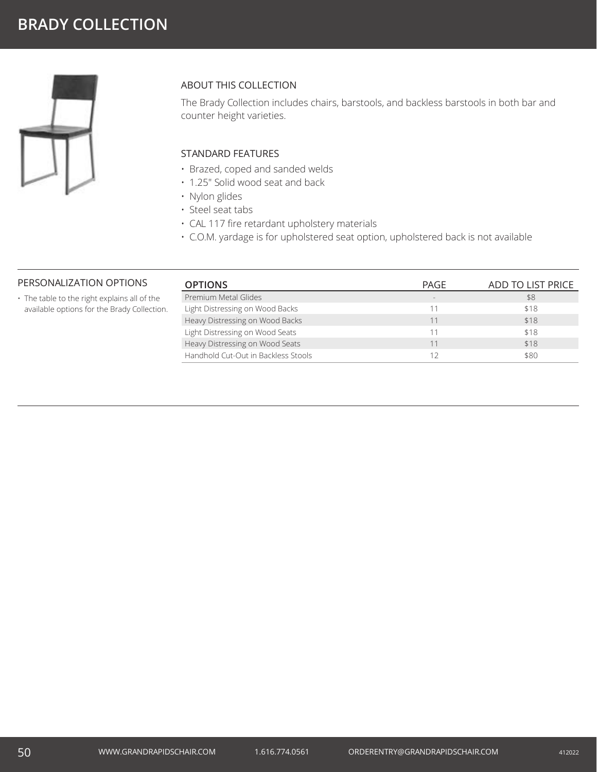

## ABOUT THIS COLLECTION

The Brady Collection includes chairs, barstools, and backless barstools in both bar and counter height varieties.

### STANDARD FEATURES

- Brazed, coped and sanded welds
- 1.25" Solid wood seat and back
- Nylon glides
- Steel seat tabs
- CAL 117 fire retardant upholstery materials
- C.O.M. yardage is for upholstered seat option, upholstered back is not available

### PERSONALIZATION OPTIONS

• The table to the right explains all of the available options for the Brady Collection.

| PAGE | ADD TO LIST PRICE |
|------|-------------------|
|      | \$8               |
| 11   | \$18              |
| 11   | \$18              |
| 11   | \$18              |
| 11   | \$18              |
| 12   | \$80              |
|      |                   |